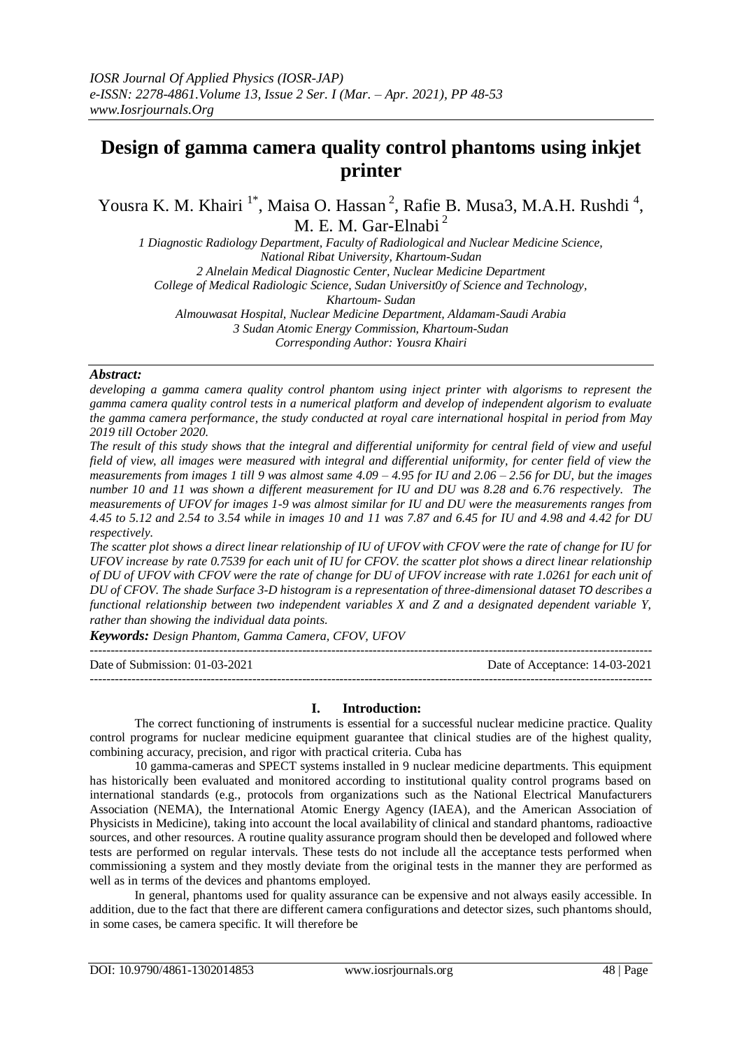# **Design of gamma camera quality control phantoms using inkjet printer**

Yousra K. M. Khairi<sup>1\*</sup>, Maisa O. Hassan<sup>2</sup>, Rafie B. Musa3, M.A.H. Rushdi<sup>4</sup>, M. E. M. Gar-Elnabi<sup>2</sup>

*1 Diagnostic Radiology Department, Faculty of Radiological and Nuclear Medicine Science, National Ribat University, Khartoum-Sudan 2 Alnelain Medical Diagnostic Center, Nuclear Medicine Department College of Medical Radiologic Science, Sudan Universit0y of Science and Technology, Khartoum- Sudan*

*Almouwasat Hospital, Nuclear Medicine Department, Aldamam-Saudi Arabia 3 Sudan Atomic Energy Commission, Khartoum-Sudan*

*Corresponding Author: Yousra Khairi*

*Abstract:*

*developing a gamma camera quality control phantom using inject printer with algorisms to represent the gamma camera quality control tests in a numerical platform and develop of independent algorism to evaluate the gamma camera performance, the study conducted at royal care international hospital in period from May 2019 till October 2020.* 

*The result of this study shows that the integral and differential uniformity for central field of view and useful field of view, all images were measured with integral and differential uniformity, for center field of view the measurements from images 1 till 9 was almost same 4.09 – 4.95 for IU and 2.06 – 2.56 for DU, but the images number 10 and 11 was shown a different measurement for IU and DU was 8.28 and 6.76 respectively. The measurements of UFOV for images 1-9 was almost similar for IU and DU were the measurements ranges from 4.45 to 5.12 and 2.54 to 3.54 while in images 10 and 11 was 7.87 and 6.45 for IU and 4.98 and 4.42 for DU respectively.*

*The scatter plot shows a direct linear relationship of IU of UFOV with CFOV were the rate of change for IU for UFOV increase by rate 0.7539 for each unit of IU for CFOV. the scatter plot shows a direct linear relationship of DU of UFOV with CFOV were the rate of change for DU of UFOV increase with rate 1.0261 for each unit of DU of CFOV. The shade Surface 3-D histogram is a representation of three-dimensional dataset TO describes a functional relationship between two independent variables X and Z and a designated dependent variable Y, rather than showing the individual data points.*

*Keywords: Design Phantom, Gamma Camera, CFOV, UFOV*

| Date of Submission: $01-03-2021$ | Date of Acceptance: 14-03-2021 |
|----------------------------------|--------------------------------|
|                                  |                                |

## **I. Introduction:**

The correct functioning of instruments is essential for a successful nuclear medicine practice. Quality control programs for nuclear medicine equipment guarantee that clinical studies are of the highest quality, combining accuracy, precision, and rigor with practical criteria. Cuba has

10 gamma-cameras and SPECT systems installed in 9 nuclear medicine departments. This equipment has historically been evaluated and monitored according to institutional quality control programs based on international standards (e.g., protocols from organizations such as the National Electrical Manufacturers Association (NEMA), the International Atomic Energy Agency (IAEA), and the American Association of Physicists in Medicine), taking into account the local availability of clinical and standard phantoms, radioactive sources, and other resources. A routine quality assurance program should then be developed and followed where tests are performed on regular intervals. These tests do not include all the acceptance tests performed when commissioning a system and they mostly deviate from the original tests in the manner they are performed as well as in terms of the devices and phantoms employed.

In general, phantoms used for quality assurance can be expensive and not always easily accessible. In addition, due to the fact that there are different camera configurations and detector sizes, such phantoms should, in some cases, be camera specific. It will therefore be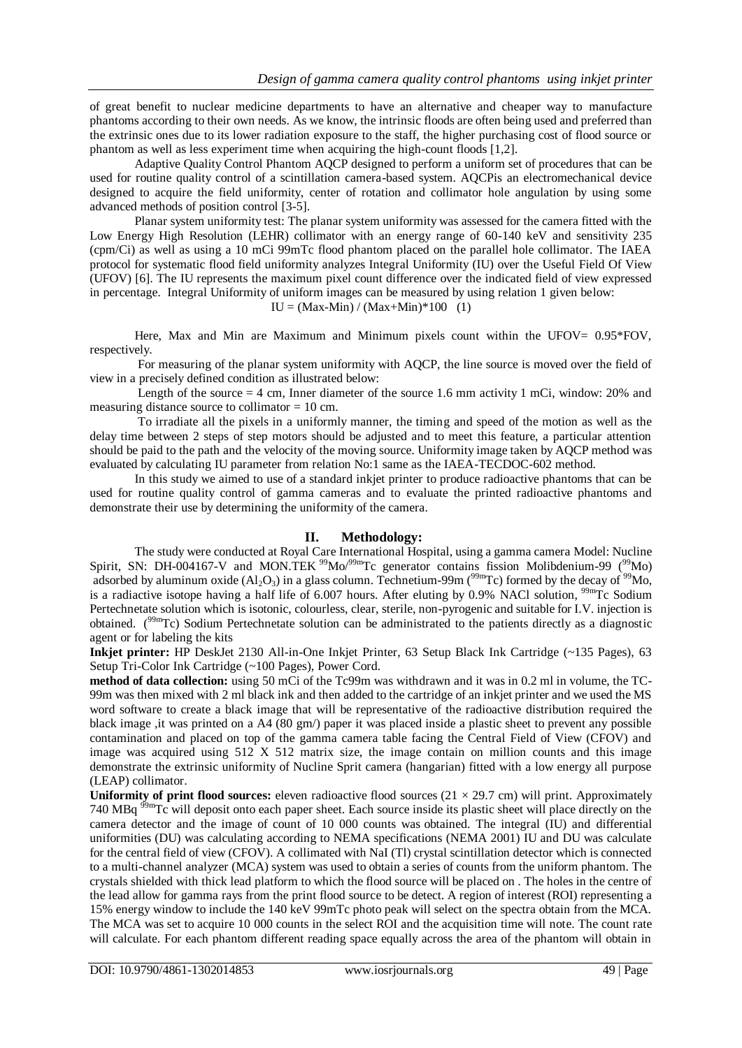of great benefit to nuclear medicine departments to have an alternative and cheaper way to manufacture phantoms according to their own needs. As we know, the intrinsic floods are often being used and preferred than the extrinsic ones due to its lower radiation exposure to the staff, the higher purchasing cost of flood source or phantom as well as less experiment time when acquiring the high-count floods [1,2].

Adaptive Quality Control Phantom AQCP designed to perform a uniform set of procedures that can be used for routine quality control of a scintillation camera-based system. AQCPis an electromechanical device designed to acquire the field uniformity, center of rotation and collimator hole angulation by using some advanced methods of position control [3-5].

Planar system uniformity test: The planar system uniformity was assessed for the camera fitted with the Low Energy High Resolution (LEHR) collimator with an energy range of 60-140 keV and sensitivity 235 (cpm/Ci) as well as using a 10 mCi 99mTc flood phantom placed on the parallel hole collimator. The IAEA protocol for systematic flood field uniformity analyzes Integral Uniformity (IU) over the Useful Field Of View (UFOV) [6]. The IU represents the maximum pixel count difference over the indicated field of view expressed in percentage. Integral Uniformity of uniform images can be measured by using relation 1 given below:

 $IU = (Max-Min) / (Max+Min)*100$  (1)

Here, Max and Min are Maximum and Minimum pixels count within the UFOV=  $0.95*FOV$ , respectively.

For measuring of the planar system uniformity with AQCP, the line source is moved over the field of view in a precisely defined condition as illustrated below:

Length of the source = 4 cm, Inner diameter of the source 1.6 mm activity 1 mCi, window: 20% and measuring distance source to collimator = 10 cm.

To irradiate all the pixels in a uniformly manner, the timing and speed of the motion as well as the delay time between 2 steps of step motors should be adjusted and to meet this feature, a particular attention should be paid to the path and the velocity of the moving source. Uniformity image taken by AQCP method was evaluated by calculating IU parameter from relation No:1 same as the IAEA-TECDOC-602 method.

In this study we aimed to use of a standard inkjet printer to produce radioactive phantoms that can be used for routine quality control of gamma cameras and to evaluate the printed radioactive phantoms and demonstrate their use by determining the uniformity of the camera.

## **II. Methodology:**

The study were conducted at Royal Care International Hospital, using a gamma camera Model: Nucline Spirit, SN: DH-004167-V and MON.TEK <sup>99</sup>Mo<sup>/99m</sup>Tc generator contains fission Molibdenium-99 (<sup>99</sup>Mo) adsorbed by aluminum oxide  $(A_1O_3)$  in a glass column. Technetium-99m ( $^{99m}$ Tc) formed by the decay of  $^{99}$ Mo, is a radiactive isotope having a half life of 6.007 hours. After eluting by 0.9% NACl solution,  $^{99m}$ Tc Sodium Pertechnetate solution which is isotonic, colourless, clear, sterile, non-pyrogenic and suitable for I.V. injection is obtained. (<sup>99m</sup>Tc) Sodium Pertechnetate solution can be administrated to the patients directly as a diagnostic agent or for labeling the kits

**Inkjet printer:** HP DeskJet 2130 All-in-One Inkjet Printer, 63 Setup Black Ink Cartridge (~135 Pages), 63 Setup Tri-Color Ink Cartridge (~100 Pages), Power Cord.

**method of data collection:** using 50 mCi of the Tc99m was withdrawn and it was in 0.2 ml in volume, the TC-99m was then mixed with 2 ml black ink and then added to the cartridge of an inkjet printer and we used the MS word software to create a black image that will be representative of the radioactive distribution required the black image ,it was printed on a A4 (80 gm/) paper it was placed inside a plastic sheet to prevent any possible contamination and placed on top of the gamma camera table facing the Central Field of View (CFOV) and image was acquired using 512 X 512 matrix size, the image contain on million counts and this image demonstrate the extrinsic uniformity of Nucline Sprit camera (hangarian) fitted with a low energy all purpose (LEAP) collimator.

**Uniformity of print flood sources:** eleven radioactive flood sources  $(21 \times 29.7 \text{ cm})$  will print. Approximately 740 MBq <sup>99m</sup>Tc will deposit onto each paper sheet. Each source inside its plastic sheet will place directly on the camera detector and the image of count of 10 000 counts was obtained. The integral (IU) and differential uniformities (DU) was calculating according to NEMA specifications (NEMA 2001) IU and DU was calculate for the central field of view (CFOV). A collimated with NaI (Tl) crystal scintillation detector which is connected to a multi-channel analyzer (MCA) system was used to obtain a series of counts from the uniform phantom. The crystals shielded with thick lead platform to which the flood source will be placed on . The holes in the centre of the lead allow for gamma rays from the print flood source to be detect. A region of interest (ROI) representing a 15% energy window to include the 140 keV 99mTc photo peak will select on the spectra obtain from the MCA. The MCA was set to acquire 10 000 counts in the select ROI and the acquisition time will note. The count rate will calculate. For each phantom different reading space equally across the area of the phantom will obtain in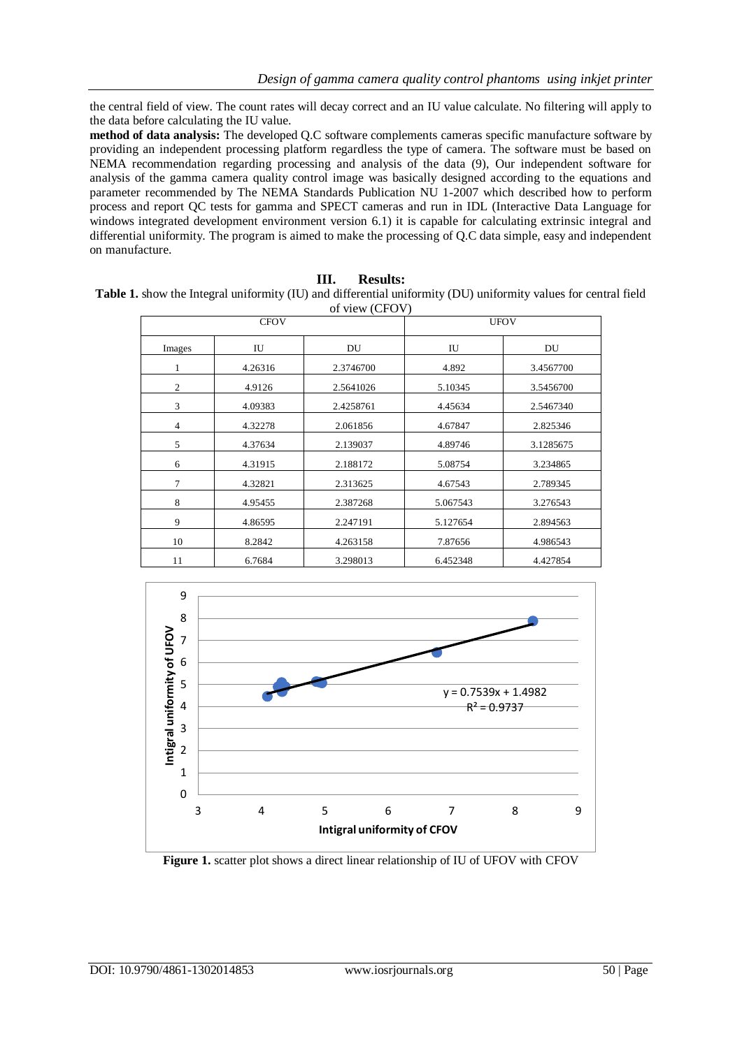the central field of view. The count rates will decay correct and an IU value calculate. No filtering will apply to the data before calculating the IU value.

**method of data analysis:** The developed Q.C software complements cameras specific manufacture software by providing an independent processing platform regardless the type of camera. The software must be based on NEMA recommendation regarding processing and analysis of the data (9), Our independent software for analysis of the gamma camera quality control image was basically designed according to the equations and parameter recommended by The NEMA Standards Publication NU 1-2007 which described how to perform process and report QC tests for gamma and SPECT cameras and run in IDL (Interactive Data Language for windows integrated development environment version 6.1) it is capable for calculating extrinsic integral and differential uniformity. The program is aimed to make the processing of Q.C data simple, easy and independent on manufacture.

**III. Results: Table 1.** show the Integral uniformity (IU) and differential uniformity (DU) uniformity values for central field

| of view (CFOV) |         |             |          |           |  |
|----------------|---------|-------------|----------|-----------|--|
| <b>CFOV</b>    |         | <b>UFOV</b> |          |           |  |
| Images         | IU      | DU          | IU       | DU        |  |
| $\mathbf{1}$   | 4.26316 | 2.3746700   | 4.892    | 3.4567700 |  |
| 2              | 4.9126  | 2.5641026   | 5.10345  | 3.5456700 |  |
| 3              | 4.09383 | 2.4258761   | 4.45634  | 2.5467340 |  |
| $\overline{4}$ | 4.32278 | 2.061856    | 4.67847  | 2.825346  |  |
| 5              | 4.37634 | 2.139037    | 4.89746  | 3.1285675 |  |
| 6              | 4.31915 | 2.188172    | 5.08754  | 3.234865  |  |
| 7              | 4.32821 | 2.313625    | 4.67543  | 2.789345  |  |
| 8              | 4.95455 | 2.387268    | 5.067543 | 3.276543  |  |
| 9              | 4.86595 | 2.247191    | 5.127654 | 2.894563  |  |
| 10             | 8.2842  | 4.263158    | 7.87656  | 4.986543  |  |
| 11             | 6.7684  | 3.298013    | 6.452348 | 4.427854  |  |



**Figure 1.** scatter plot shows a direct linear relationship of IU of UFOV with CFOV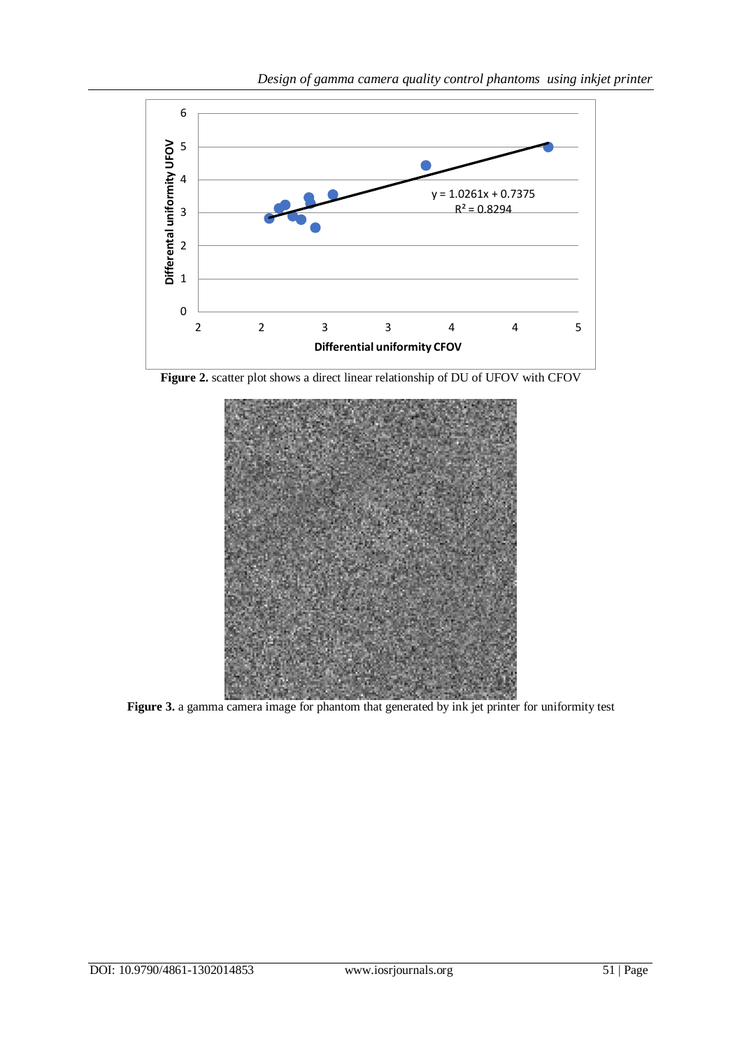

**Figure 2.** scatter plot shows a direct linear relationship of DU of UFOV with CFOV



Figure 3. a gamma camera image for phantom that generated by ink jet printer for uniformity test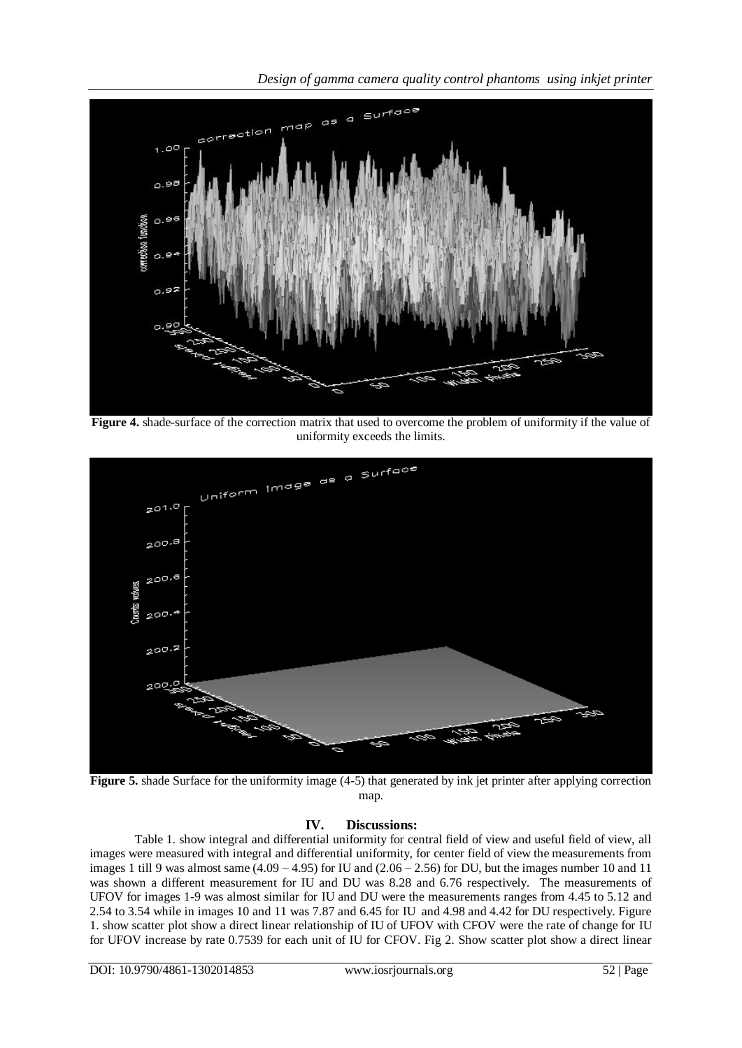*Design of gamma camera quality control phantoms using inkjet printer*



**Figure 4.** shade-surface of the correction matrix that used to overcome the problem of uniformity if the value of uniformity exceeds the limits.



**Figure 5.** shade Surface for the uniformity image (4-5) that generated by ink jet printer after applying correction map.

# **IV. Discussions:**

Table 1. show integral and differential uniformity for central field of view and useful field of view, all images were measured with integral and differential uniformity, for center field of view the measurements from images 1 till 9 was almost same  $(4.09 - 4.95)$  for IU and  $(2.06 - 2.56)$  for DU, but the images number 10 and 11 was shown a different measurement for IU and DU was 8.28 and 6.76 respectively. The measurements of UFOV for images 1-9 was almost similar for IU and DU were the measurements ranges from 4.45 to 5.12 and 2.54 to 3.54 while in images 10 and 11 was 7.87 and 6.45 for IU and 4.98 and 4.42 for DU respectively. Figure 1. show scatter plot show a direct linear relationship of IU of UFOV with CFOV were the rate of change for IU for UFOV increase by rate 0.7539 for each unit of IU for CFOV. Fig 2. Show scatter plot show a direct linear